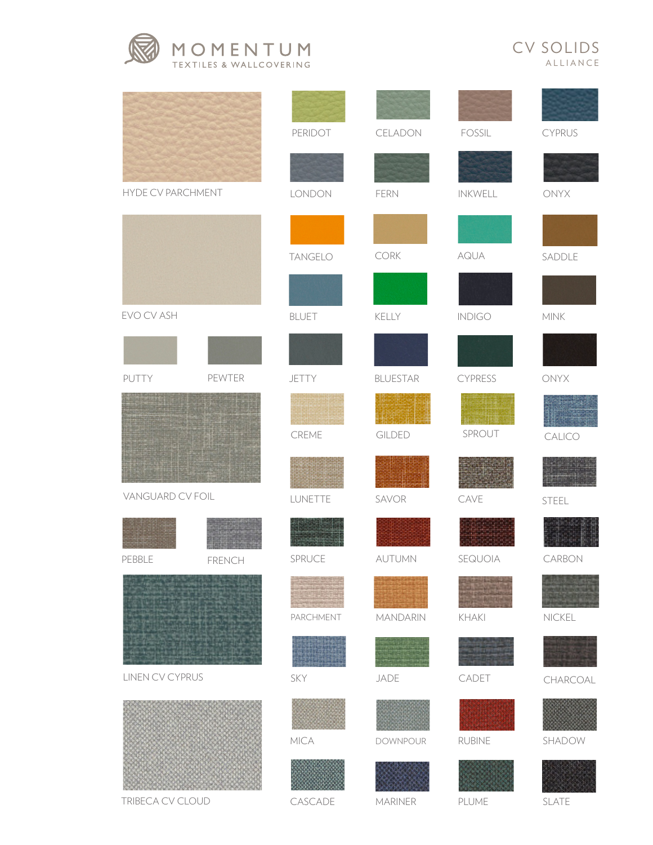



|                        |        | PERIDOT        | CELADON                | FOSSIL         | CYPRUS          |
|------------------------|--------|----------------|------------------------|----------------|-----------------|
|                        |        |                |                        |                |                 |
| HYDE CV PARCHMENT      |        | LONDON         | FERN                   | INKWELL        | ONYX            |
|                        |        |                |                        |                |                 |
|                        |        | <b>TANGELO</b> | $\mathsf{CORK}\xspace$ | AQUA           | SADDLE          |
|                        |        |                |                        |                |                 |
| EVO CV ASH             |        | <b>BLUET</b>   | KELLY                  | <b>INDIGO</b>  | $\textsf{MINK}$ |
|                        |        |                |                        |                |                 |
| PUTTY                  | PEWTER | JETTY          | <b>BLUESTAR</b>        | <b>CYPRESS</b> | ONYX            |
|                        |        |                |                        |                |                 |
|                        |        | CREME          | GILDED                 | SPROUT         | CALICO          |
|                        |        |                |                        |                |                 |
| VANGUARD CV FOIL       |        | LUNETTE        | SAVOR                  | CAVE           | STEEL           |
|                        |        |                |                        |                |                 |
| PEBBLE                 | FRENCH | SPRUCE         | AUTUMN                 | SEQUOIA        | CARBON          |
|                        |        |                |                        |                |                 |
|                        |        | PARCHMENT      | <b>MANDARIN</b>        | KHAKI          | NICKEL          |
|                        |        |                |                        |                |                 |
| <b>LINEN CV CYPRUS</b> |        | SKY            | JADE                   | CADET          | CHARCOAL        |
|                        |        |                |                        |                |                 |
|                        |        | MICA           | <b>DOWNPOUR</b>        | <b>RUBINE</b>  | SHADOW          |
|                        |        |                |                        |                |                 |
| TRIBECA CV CLOUD       |        | CASCADE        | MARINER                | PLUME          | SLATE           |